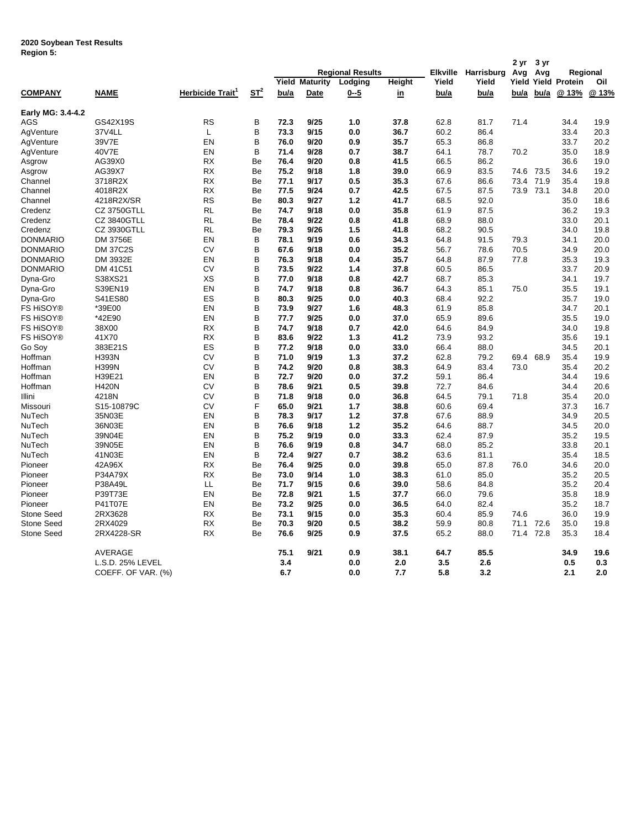## **2020 Soybean Test Results Region 5:**

| .                 |                    |                              |                    |      |                         |             |           |          |             | 2 yr  | 3 yr |                      |       |
|-------------------|--------------------|------------------------------|--------------------|------|-------------------------|-------------|-----------|----------|-------------|-------|------|----------------------|-------|
|                   |                    |                              |                    |      | <b>Regional Results</b> |             |           | Elkville | Harrisburg  | Avg   | Avg  | Regional             |       |
|                   |                    |                              |                    |      | <b>Yield Maturity</b>   | Lodging     | Height    | Yield    | Yield       | Yield |      | <b>Yield Protein</b> | Oil   |
| <b>COMPANY</b>    | <b>NAME</b>        | Herbicide Trait <sup>1</sup> | $S_{\text{L}}^{2}$ | bu/a | Date                    | <u>0--5</u> | <u>in</u> | bu/a     | <u>bu/a</u> | bu/a  | bu/a | @ 13%                | @ 13% |
| Early MG: 3.4-4.2 |                    |                              |                    |      |                         |             |           |          |             |       |      |                      |       |
| <b>AGS</b>        | GS42X19S           | <b>RS</b>                    | B                  | 72.3 | 9/25                    | 1.0         | 37.8      | 62.8     | 81.7        | 71.4  |      | 34.4                 | 19.9  |
| AgVenture         | 37V4LL             | L                            | B                  | 73.3 | 9/15                    | 0.0         | 36.7      | 60.2     | 86.4        |       |      | 33.4                 | 20.3  |
| AgVenture         | 39V7E              | EN                           | B                  | 76.0 | 9/20                    | 0.9         | 35.7      | 65.3     | 86.8        |       |      | 33.7                 | 20.2  |
| AgVenture         | 40V7E              | EN                           | B                  | 71.4 | 9/28                    | 0.7         | 38.7      | 64.1     | 78.7        | 70.2  |      | 35.0                 | 18.9  |
| Asgrow            | AG39X0             | RX                           | Be                 | 76.4 | 9/20                    | 0.8         | 41.5      | 66.5     | 86.2        |       |      | 36.6                 | 19.0  |
| Asgrow            | AG39X7             | <b>RX</b>                    | Be                 | 75.2 | 9/18                    | 1.8         | 39.0      | 66.9     | 83.5        | 74.6  | 73.5 | 34.6                 | 19.2  |
| Channel           | 3718R2X            | <b>RX</b>                    | Be                 | 77.1 | 9/17                    | 0.5         | 35.3      | 67.6     | 86.6        | 73.4  | 71.9 | 35.4                 | 19.8  |
| Channel           | 4018R2X            | <b>RX</b>                    | Be                 | 77.5 | 9/24                    | 0.7         | 42.5      | 67.5     | 87.5        | 73.9  | 73.1 | 34.8                 | 20.0  |
| Channel           | 4218R2X/SR         | <b>RS</b>                    | Be                 | 80.3 | 9/27                    | 1.2         | 41.7      | 68.5     | 92.0        |       |      | 35.0                 | 18.6  |
| Credenz           | <b>CZ 3750GTLL</b> | RL                           | Be                 | 74.7 | 9/18                    | 0.0         | 35.8      | 61.9     | 87.5        |       |      | 36.2                 | 19.3  |
| Credenz           | <b>CZ 3840GTLL</b> | <b>RL</b>                    | Be                 | 78.4 | 9/22                    | 0.8         | 41.8      | 68.9     | 88.0        |       |      | 33.0                 | 20.1  |
| Credenz           | CZ 3930GTLL        | RL                           | Be                 | 79.3 | 9/26                    | 1.5         | 41.8      | 68.2     | 90.5        |       |      | 34.0                 | 19.8  |
| <b>DONMARIO</b>   | DM 3756E           | EN                           | B                  | 78.1 | 9/19                    | 0.6         | 34.3      | 64.8     | 91.5        | 79.3  |      | 34.1                 | 20.0  |
| <b>DONMARIO</b>   | <b>DM 37C2S</b>    | CV                           | B                  | 67.6 | 9/18                    | 0.0         | 35.2      | 56.7     | 78.6        | 70.5  |      | 34.9                 | 20.0  |
| <b>DONMARIO</b>   | DM 3932E           | EN                           | B                  | 76.3 | 9/18                    | 0.4         | 35.7      | 64.8     | 87.9        | 77.8  |      | 35.3                 | 19.3  |
| <b>DONMARIO</b>   | DM 41C51           | CV                           | B                  | 73.5 | 9/22                    | 1.4         | 37.8      | 60.5     | 86.5        |       |      | 33.7                 | 20.9  |
| Dyna-Gro          | S38XS21            | XS                           | B                  | 77.0 | 9/18                    | 0.8         | 42.7      | 68.7     | 85.3        |       |      | 34.1                 | 19.7  |
| Dyna-Gro          | S39EN19            | EN                           | B                  | 74.7 | 9/18                    | 0.8         | 36.7      | 64.3     | 85.1        | 75.0  |      | 35.5                 | 19.1  |
| Dyna-Gro          | S41ES80            | ES                           | B                  | 80.3 | 9/25                    | 0.0         | 40.3      | 68.4     | 92.2        |       |      | 35.7                 | 19.0  |
| FS HiSOY®         | *39E00             | EN                           | B                  | 73.9 | 9/27                    | 1.6         | 48.3      | 61.9     | 85.8        |       |      | 34.7                 | 20.1  |
| FS HiSOY®         | *42E90             | EN                           | B                  | 77.7 | 9/25                    | 0.0         | 37.0      | 65.9     | 89.6        |       |      | 35.5                 | 19.0  |
| <b>FS HISOY®</b>  | 38X00              | RX                           | B                  | 74.7 | 9/18                    | 0.7         | 42.0      | 64.6     | 84.9        |       |      | 34.0                 | 19.8  |
| FS HiSOY®         | 41X70              | <b>RX</b>                    | B                  | 83.6 | 9/22                    | 1.3         | 41.2      | 73.9     | 93.2        |       |      | 35.6                 | 19.1  |
| Go Soy            | 383E21S            | ES                           | B                  | 77.2 | 9/18                    | 0.0         | 33.0      | 66.4     | 88.0        |       |      | 34.5                 | 20.1  |
| Hoffman           | <b>H393N</b>       | CV                           | B                  | 71.0 | 9/19                    | 1.3         | 37.2      | 62.8     | 79.2        | 69.4  | 68.9 | 35.4                 | 19.9  |
| Hoffman           | <b>H399N</b>       | CV                           | B                  | 74.2 | 9/20                    | 0.8         | 38.3      | 64.9     | 83.4        | 73.0  |      | 35.4                 | 20.2  |
| Hoffman           | H39E21             | EN                           | B                  | 72.7 | 9/20                    | 0.0         | 37.2      | 59.1     | 86.4        |       |      | 34.4                 | 19.6  |
| Hoffman           | <b>H420N</b>       | CV                           | B                  | 78.6 | 9/21                    | 0.5         | 39.8      | 72.7     | 84.6        |       |      | 34.4                 | 20.6  |
| Illini            | 4218N              | СV                           | B                  | 71.8 | 9/18                    | 0.0         | 36.8      | 64.5     | 79.1        | 71.8  |      | 35.4                 | 20.0  |
| Missouri          | S15-10879C         | <b>CV</b>                    | F                  | 65.0 | 9/21                    | 1.7         | 38.8      | 60.6     | 69.4        |       |      | 37.3                 | 16.7  |
| NuTech            | 35N03E             | EN                           | B                  | 78.3 | 9/17                    | 1.2         | 37.8      | 67.6     | 88.9        |       |      | 34.9                 | 20.5  |
| NuTech            | 36N03E             | EN                           | B                  | 76.6 | 9/18                    | $1.2$       | 35.2      | 64.6     | 88.7        |       |      | 34.5                 | 20.0  |
| NuTech            | 39N04E             | EN                           | B                  | 75.2 | 9/19                    | 0.0         | 33.3      | 62.4     | 87.9        |       |      | 35.2                 | 19.5  |
| NuTech            | 39N05E             | EN                           | B                  | 76.6 | 9/19                    | 0.8         | 34.7      | 68.0     | 85.2        |       |      | 33.8                 | 20.1  |
| NuTech            | 41N03E             | EN                           | B                  | 72.4 | 9/27                    | 0.7         | 38.2      | 63.6     | 81.1        |       |      | 35.4                 | 18.5  |
| Pioneer           | 42A96X             | RX                           | Be                 | 76.4 | 9/25                    | 0.0         | 39.8      | 65.0     | 87.8        | 76.0  |      | 34.6                 | 20.0  |
| Pioneer           | P34A79X            | <b>RX</b>                    | Be                 | 73.0 | 9/14                    | 1.0         | 38.3      | 61.0     | 85.0        |       |      | 35.2                 | 20.5  |
| Pioneer           | P38A49L            | LL                           | Be                 | 71.7 | 9/15                    | 0.6         | 39.0      | 58.6     | 84.8        |       |      | 35.2                 | 20.4  |
| Pioneer           | P39T73E            | EN                           | Be                 | 72.8 | 9/21                    | 1.5         | 37.7      | 66.0     | 79.6        |       |      | 35.8                 | 18.9  |
| Pioneer           | P41T07E            | EN                           | Be                 | 73.2 | 9/25                    | 0.0         | 36.5      | 64.0     | 82.4        |       |      | 35.2                 | 18.7  |
| <b>Stone Seed</b> | 2RX3628            | <b>RX</b>                    | Be                 | 73.1 | 9/15                    | 0.0         | 35.3      | 60.4     | 85.9        | 74.6  |      | 36.0                 | 19.9  |
| <b>Stone Seed</b> | 2RX4029            | <b>RX</b>                    | Be                 | 70.3 | 9/20                    | 0.5         | 38.2      | 59.9     | 80.8        | 71.1  | 72.6 | 35.0                 | 19.8  |
| <b>Stone Seed</b> | 2RX4228-SR         | <b>RX</b>                    | Be                 | 76.6 | 9/25                    | 0.9         | 37.5      | 65.2     | 88.0        | 71.4  | 72.8 | 35.3                 | 18.4  |
|                   |                    |                              |                    |      |                         |             |           |          |             |       |      |                      |       |
|                   | AVERAGE            |                              |                    | 75.1 | 9/21                    | 0.9         | 38.1      | 64.7     | 85.5        |       |      | 34.9                 | 19.6  |
|                   | L.S.D. 25% LEVEL   |                              |                    | 3.4  |                         | 0.0         | 2.0       | 3.5      | 2.6         |       |      | 0.5                  | 0.3   |
|                   | COEFF. OF VAR. (%) |                              |                    | 6.7  |                         | 0.0         | 7.7       | 5.8      | 3.2         |       |      | 2.1                  | 2.0   |